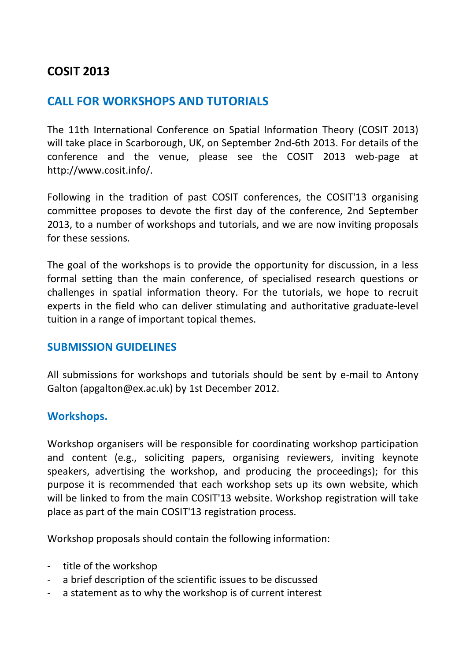# **COSIT 2013**

### **CALL FOR WORKSHOPS AND TUTORIALS**

The 11th International Conference on Spatial Information Theory (COSIT 2013) will take place in Scarborough, UK, on September 2nd-6th 2013. For details of the conference and the venue, please see the COSIT 2013 web-page at http://www.cosit.info/.

Following in the tradition of past COSIT conferences, the COSIT'13 organising committee proposes to devote the first day of the conference, 2nd September 2013, to a number of workshops and tutorials, and we are now inviting proposals for these sessions.

The goal of the workshops is to provide the opportunity for discussion, in a less formal setting than the main conference, of specialised research questions or challenges in spatial information theory. For the tutorials, we hope to recruit experts in the field who can deliver stimulating and authoritative graduate-level tuition in a range of important topical themes.

#### **SUBMISSION GUIDELINES**

All submissions for workshops and tutorials should be sent by e-mail to Antony Galton (apgalton@ex.ac.uk) by 1st December 2012.

#### **Workshops.**

Workshop organisers will be responsible for coordinating workshop participation and content (e.g., soliciting papers, organising reviewers, inviting keynote speakers, advertising the workshop, and producing the proceedings); for this purpose it is recommended that each workshop sets up its own website, which will be linked to from the main COSIT'13 website. Workshop registration will take place as part of the main COSIT'13 registration process.

Workshop proposals should contain the following information:

- title of the workshop
- a brief description of the scientific issues to be discussed
- a statement as to why the workshop is of current interest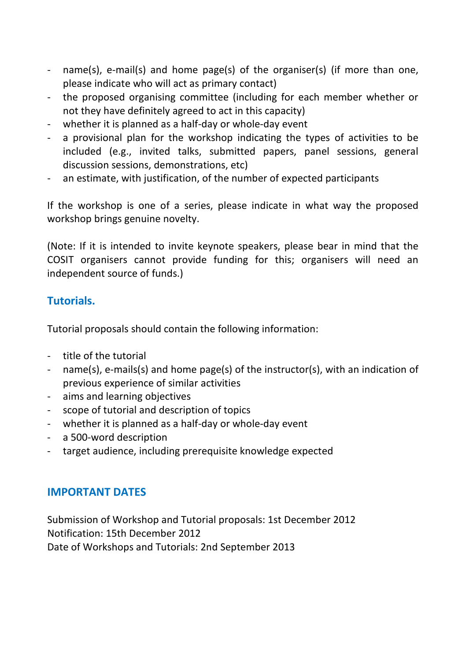- name(s), e-mail(s) and home page(s) of the organiser(s) (if more than one, please indicate who will act as primary contact)
- the proposed organising committee (including for each member whether or not they have definitely agreed to act in this capacity)
- whether it is planned as a half-day or whole-day event
- a provisional plan for the workshop indicating the types of activities to be included (e.g., invited talks, submitted papers, panel sessions, general discussion sessions, demonstrations, etc)
- an estimate, with justification, of the number of expected participants

If the workshop is one of a series, please indicate in what way the proposed workshop brings genuine novelty.

(Note: If it is intended to invite keynote speakers, please bear in mind that the COSIT organisers cannot provide funding for this; organisers will need an independent source of funds.)

### **Tutorials.**

Tutorial proposals should contain the following information:

- title of the tutorial
- name(s), e-mails(s) and home page(s) of the instructor(s), with an indication of previous experience of similar activities
- aims and learning objectives
- scope of tutorial and description of topics
- whether it is planned as a half-day or whole-day event
- a 500-word description
- target audience, including prerequisite knowledge expected

## **IMPORTANT DATES**

Submission of Workshop and Tutorial proposals: 1st December 2012 Notification: 15th December 2012 Date of Workshops and Tutorials: 2nd September 2013